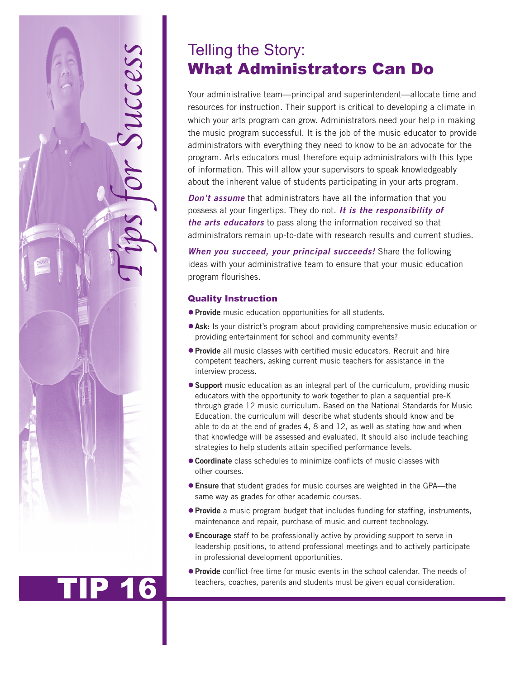

## TIP 16

# What Administrators Can Do

Your administrative team—principal and superintendent—allocate time and resources for instruction. Their support is critical to developing a climate in which your arts program can grow. Administrators need your help in making the music program successful. It is the job of the music educator to provide administrators with everything they need to know to be an advocate for the program. Arts educators must therefore equip administrators with this type of information. This will allow your supervisors to speak knowledgeably about the inherent value of students participating in your arts program.

*Don't assume* that administrators have all the information that you possess at your fingertips. They do not. *It is the responsibility of the arts educators* to pass along the information received so that administrators remain up-to-date with research results and current studies.

*When you succeed, your principal succeeds!* Share the following ideas with your administrative team to ensure that your music education program flourishes.

### Quality Instruction

- **Provide** music education opportunities for all students.
- **Ask:** Is your district's program about providing comprehensive music education or providing entertainment for school and community events?
- **Provide** all music classes with certified music educators. Recruit and hire competent teachers, asking current music teachers for assistance in the interview process.
- **Support** music education as an integral part of the curriculum, providing music educators with the opportunity to work together to plan a sequential pre-K through grade 12 music curriculum. Based on the National Standards for Music Education, the curriculum will describe what students should know and be able to do at the end of grades 4, 8 and 12, as well as stating how and when that knowledge will be assessed and evaluated. It should also include teaching strategies to help students attain specified performance levels.
- **Coordinate** class schedules to minimize conflicts of music classes with other courses.
- **Ensure** that student grades for music courses are weighted in the GPA—the same way as grades for other academic courses.
- **Provide** a music program budget that includes funding for staffing, instruments, maintenance and repair, purchase of music and current technology.
- **Encourage** staff to be professionally active by providing support to serve in leadership positions, to attend professional meetings and to actively participate in professional development opportunities.
- **Provide** conflict-free time for music events in the school calendar. The needs of teachers, coaches, parents and students must be given equal consideration.